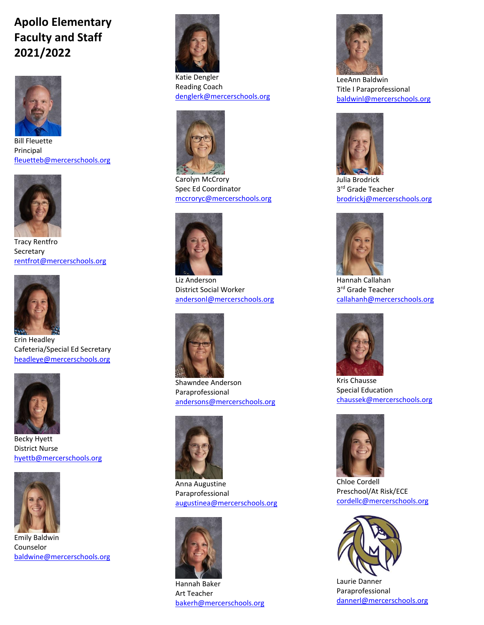## **Apollo Elementary Faculty and Staff 2021/2022**



Bill Fleuette Principal [fleuetteb@mercerschools.org](mailto:fleuetteb@mercerschools.org)



Tracy Rentfro **Secretary** [rentfrot@mercerschools.org](mailto:rentfrot@mercerschools.org)



Erin Headley Cafeteria/Special Ed Secretary [headleye@mercerschools.org](mailto:headleye@mercerschools.org)



Becky Hyett District Nurse [hyettb@mercerschools.org](mailto:hyettb@mercerschools.org)



Emily Baldwin Counselor [baldwine@mercerschools.org](mailto:baldwine@mercerschools.org)



Katie Dengler Reading Coach [denglerk@mercerschools.org](mailto:denglerk@mercerschools.org)



Carolyn McCrory Spec Ed Coordinator [mccroryc@mercerschools.org](mailto:mccroryc@mercerschools.org)



Liz Anderson District Social Worker [andersonl@mercerschools.org](mailto:andersonl@mercerschools.org)



Shawndee Anderson Paraprofessional [andersons@mercerschools.org](mailto:andersons@mercerschools.org)



Anna Augustine Paraprofessional [augustinea@mercerschools.org](mailto:augustinea@mercerschools.org)



Hannah Baker Art Teacher [bakerh@mercerschools.org](mailto:bakerh@mercerschools.org)



LeeAnn Baldwin Title I Paraprofessional [baldwinl@mercerschools.org](mailto:baldwinl@mercerschools.org)



Julia Brodrick 3<sup>rd</sup> Grade Teacher [brodrickj@mercerschools.org](mailto:brodrickj@mercerschools.org)



Hannah Callahan 3<sup>rd</sup> Grade Teacher [callahanh@mercerschools.org](mailto:callahanh@mercerschools.org)



Kris Chausse Special Education [chaussek@mercerschools.org](mailto:chaussek@mercerschools.org)



Chloe Cordell Preschool/At Risk/ECE [cordellc@mercerschools.org](mailto:cordellc@mercerschools.org)



Laurie Danner Paraprofessional [dannerl@mercerschools.org](mailto:dannerl@mercerschools.org)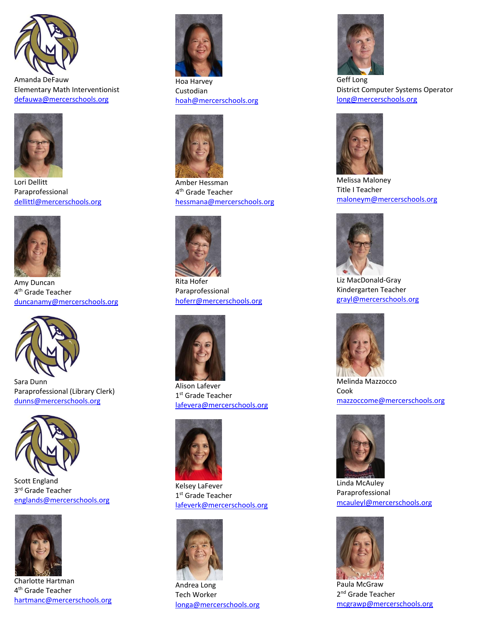

Amanda DeFauw Elementary Math Interventionist [defauwa@mercerschools.org](mailto:defauwa@mercerschools.org)



Lori Dellitt Paraprofessional [dellittl@mercerschools.org](mailto:dellittl@mercerschools.org)



Amy Duncan 4<sup>th</sup> Grade Teacher [duncanamy@mercerschools.org](mailto:duncanamy@mercerschools.org)



Sara Dunn Paraprofessional (Library Clerk) [dunns@mercerschools.org](mailto:dunns@mercerschools.org)



Scott England 3<sup>rd</sup> Grade Teacher [englands@mercerschools.org](mailto:englands@mercerschools.org)



Charlotte Hartman 4<sup>th</sup> Grade Teacher [hartmanc@mercerschools.org](mailto:hartmanc@mercerschools.org)



Hoa Harvey Custodian [hoah@mercerschools.org](mailto:hoah@mercerschools.org)



Amber Hessman 4 th Grade Teacher [hessmana@mercerschools.org](mailto:hessmana@mercerschools.org)



Rita Hofer Paraprofessional [hoferr@mercerschools.org](mailto:hoferr@mercerschools.org)



Alison Lafever 1<sup>st</sup> Grade Teacher [lafevera@mercerschools.org](mailto:lafevera@mercerschools.org)



Kelsey LaFever 1<sup>st</sup> Grade Teacher [lafeverk@mercerschools.org](mailto:lafeverk@mercerschools.org)



Andrea Long Tech Worker [longa@mercerschools.org](mailto:longa@mercerschools.org)



District Computer Systems Operator [long@mercerschools.org](mailto:long@mercerschools.org)



Melissa Maloney Title I Teacher [maloneym@mercerschools.org](mailto:maloneym@mercerschools.org)



Liz MacDonald-Gray Kindergarten Teacher [grayl@mercerschools.org](mailto:grayl@mercerschools.org)



Melinda Mazzocco Cook [mazzoccome@mercerschools.org](mailto:mazzoccome@mercerschools.org)



Linda McAuley Paraprofessional [mcauleyl@mercerschools.org](mailto:mcauleyl@mercerschools.org)



Paula McGraw 2<sup>nd</sup> Grade Teacher [mcgrawp@mercerschools.org](mailto:mcgrawp@mercerschools.org)